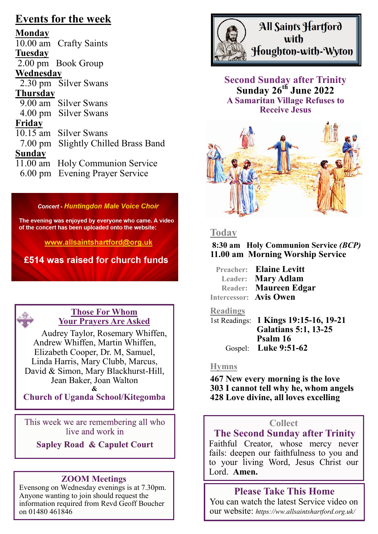# **Events for the week**

**Monday** 10.00 am Crafty Saints **Tuesday** 2.00 pm Book Group **Wednesday** 2.30 pm Silver Swans **Thursday** 9.00 am Silver Swans 4.00 pm Silver Swans **Friday** 10.15 am Silver Swans 7.00 pm Slightly Chilled Brass Band **Sunday** 11.00 am Holy Communion Service 6.00 pm Evening Prayer Service

### **Concert - Huntingdon Male Voice Choir**

The evening was enjoyed by everyone who came. A video of the concert has been uploaded onto the website:

www.allsaintshartford@org.uk

£514 was raised for church funds



## **Those For Whom Your Prayers Are Asked**

Audrey Taylor, Rosemary Whiffen, Andrew Whiffen, Martin Whiffen, Elizabeth Cooper, Dr. M, Samuel, Linda Harris, Mary Clubb, Marcus, David & Simon, Mary Blackhurst-Hill, Jean Baker, Joan Walton **&**

**Church of Uganda School/Kitegomba**

This week we are remembering all who live and work in

**Sapley Road & Capulet Court** 

## **ZOOM Meetings**

Evensong on Wednesday evenings is at 7.30pm. Anyone wanting to join should request the information required from Revd Geoff Boucher on 01480 461846



**Second Sunday after Trinity Sunday 26th June 2022 A Samaritan Village Refuses to Receive Jesus**



## **Today**

**8:30 am Holy Communion Service** *(BCP)* **11.00 am Morning Worship Service**

| Preacher: Elaine Levitt      |
|------------------------------|
| Leader: Mary Adlam           |
| <b>Reader: Maureen Edgar</b> |
| Intercessor: Avis Owen       |

## **Readings**

| 1st Readings: 1 Kings 19:15-16, 19-21 |
|---------------------------------------|
| <b>Galatians 5:1, 13-25</b>           |
| Psalm 16                              |
| Gospel: Luke $9:51-62$                |

#### **Hymns**

**467 New every morning is the love 303 I cannot tell why he, whom angels 428 Love divine, all loves excelling**

## **Collect**

## **The Second Sunday after Trinity**

Faithful Creator, whose mercy never fails: deepen our faithfulness to you and to your living Word, Jesus Christ our Lord. **Amen.**

## **Please Take This Home**

You can watch the latest Service video on our website: *https://ww.allsaintshartford.org.uk/*